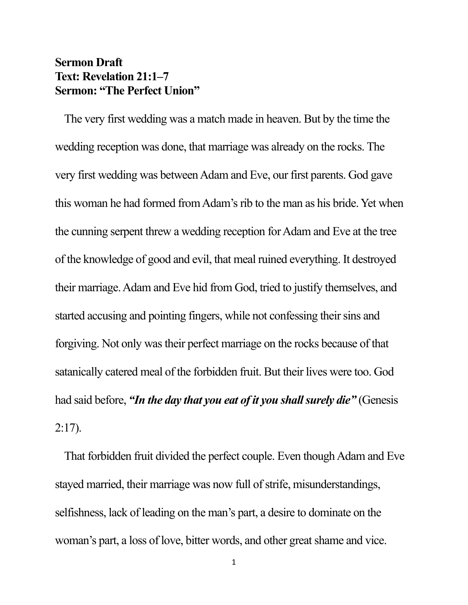## **Sermon Draft Text: Revelation 21:1–7 Sermon: "The Perfect Union"**

The very first wedding was a match made in heaven. But by the time the wedding reception was done, that marriage was already on the rocks. The very first wedding was between Adam and Eve, our first parents. God gave this woman he had formed from Adam's rib to the man as his bride. Yet when the cunning serpent threw a wedding reception for Adam and Eve at the tree of the knowledge of good and evil, that meal ruined everything. It destroyed their marriage. Adam and Eve hid from God, tried to justify themselves, and started accusing and pointing fingers, while not confessing their sins and forgiving. Not only was their perfect marriage on the rocks because of that satanically catered meal of the forbidden fruit. But their lives were too. God had said before, *"In the day that you eat of it you shall surely die"* (Genesis 2:17).

That forbidden fruit divided the perfect couple. Even though Adam and Eve stayed married, their marriage was now full of strife, misunderstandings, selfishness, lack of leading on the man's part, a desire to dominate on the woman's part, a loss of love, bitter words, and other great shame and vice.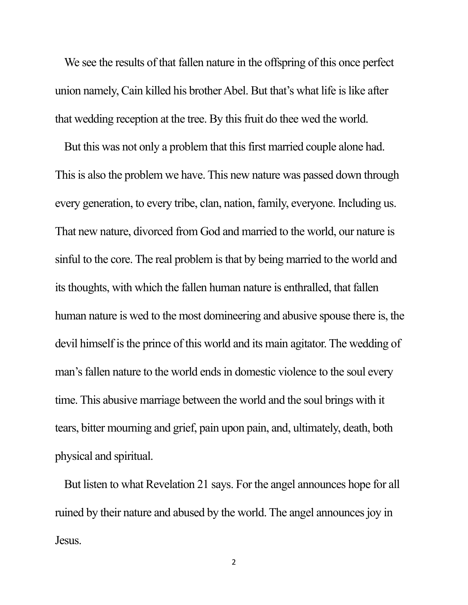We see the results of that fallen nature in the offspring of this once perfect union namely, Cain killed his brother Abel. But that's what life is like after that wedding reception at the tree. By this fruit do thee wed the world.

But this was not only a problem that this first married couple alone had. This is also the problem we have. This new nature was passed down through every generation, to every tribe, clan, nation, family, everyone. Including us. That new nature, divorced from God and married to the world, our nature is sinful to the core. The real problem is that by being married to the world and its thoughts, with which the fallen human nature is enthralled, that fallen human nature is wed to the most domineering and abusive spouse there is, the devil himself is the prince of this world and its main agitator. The wedding of man's fallen nature to the world ends in domestic violence to the soul every time. This abusive marriage between the world and the soul brings with it tears, bitter mourning and grief, pain upon pain, and, ultimately, death, both physical and spiritual.

But listen to what Revelation 21 says. For the angel announces hope for all ruined by their nature and abused by the world. The angel announces joy in Jesus.

2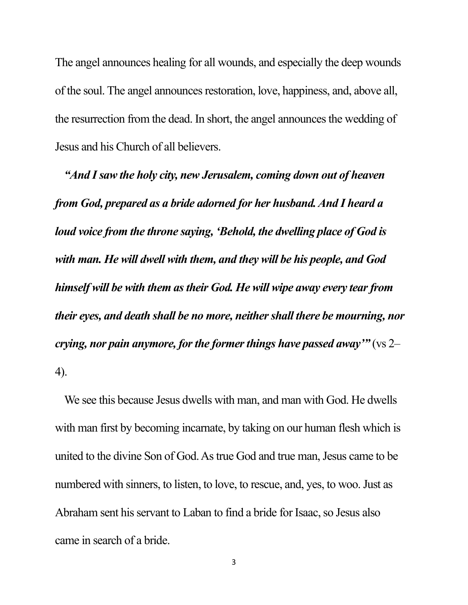The angel announces healing for all wounds, and especially the deep wounds of the soul. The angel announces restoration, love, happiness, and, above all, the resurrection from the dead. In short, the angel announces the wedding of Jesus and his Church of all believers.

*"And I saw the holy city, new Jerusalem, coming down out of heaven from God, prepared as a bride adorned for her husband. And I heard a loud voice from the throne saying, 'Behold, the dwelling place of God is with man. He will dwell with them, and they will be his people, and God himself will be with them as their God. He will wipe away every tear from their eyes, and death shall be no more, neither shall there be mourning, nor crying, nor pain anymore, for the former things have passed away'"* (vs 2– 4).

We see this because Jesus dwells with man, and man with God. He dwells with man first by becoming incarnate, by taking on our human flesh which is united to the divine Son of God. As true God and true man, Jesus came to be numbered with sinners, to listen, to love, to rescue, and, yes, to woo. Just as Abraham sent his servant to Laban to find a bride for Isaac, so Jesus also came in search of a bride.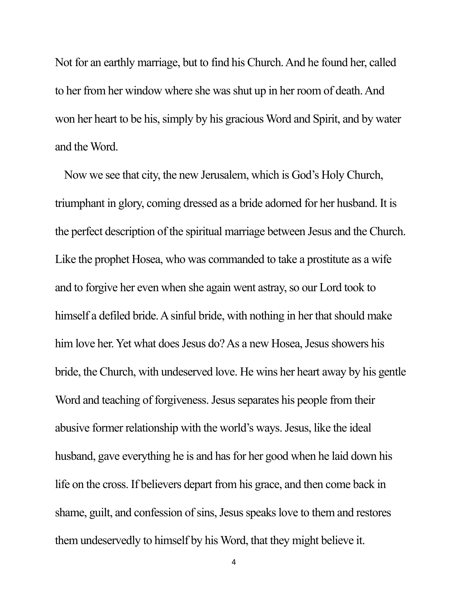Not for an earthly marriage, but to find his Church. And he found her, called to her from her window where she was shut up in her room of death. And won her heart to be his, simply by his gracious Word and Spirit, and by water and the Word.

Now we see that city, the new Jerusalem, which is God's Holy Church, triumphant in glory, coming dressed as a bride adorned for her husband. It is the perfect description of the spiritual marriage between Jesus and the Church. Like the prophet Hosea, who was commanded to take a prostitute as a wife and to forgive her even when she again went astray, so our Lord took to himself a defiled bride. A sinful bride, with nothing in her that should make him love her. Yet what does Jesus do? As a new Hosea, Jesus showers his bride, the Church, with undeserved love. He wins her heart away by his gentle Word and teaching of forgiveness. Jesus separates his people from their abusive former relationship with the world's ways. Jesus, like the ideal husband, gave everything he is and has for her good when he laid down his life on the cross. If believers depart from his grace, and then come back in shame, guilt, and confession of sins, Jesus speaks love to them and restores them undeservedly to himself by his Word, that they might believe it.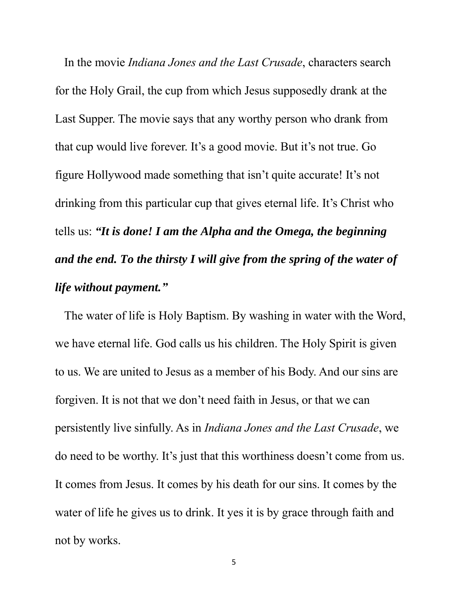In the movie *Indiana Jones and the Last Crusade*, characters search for the Holy Grail, the cup from which Jesus supposedly drank at the Last Supper. The movie says that any worthy person who drank from that cup would live forever. It's a good movie. But it's not true. Go figure Hollywood made something that isn't quite accurate! It's not drinking from this particular cup that gives eternal life. It's Christ who tells us: *"It is done! I am the Alpha and the Omega, the beginning and the end. To the thirsty I will give from the spring of the water of life without payment."*

The water of life is Holy Baptism. By washing in water with the Word, we have eternal life. God calls us his children. The Holy Spirit is given to us. We are united to Jesus as a member of his Body. And our sins are forgiven. It is not that we don't need faith in Jesus, or that we can persistently live sinfully. As in *Indiana Jones and the Last Crusade*, we do need to be worthy. It's just that this worthiness doesn't come from us. It comes from Jesus. It comes by his death for our sins. It comes by the water of life he gives us to drink. It yes it is by grace through faith and not by works.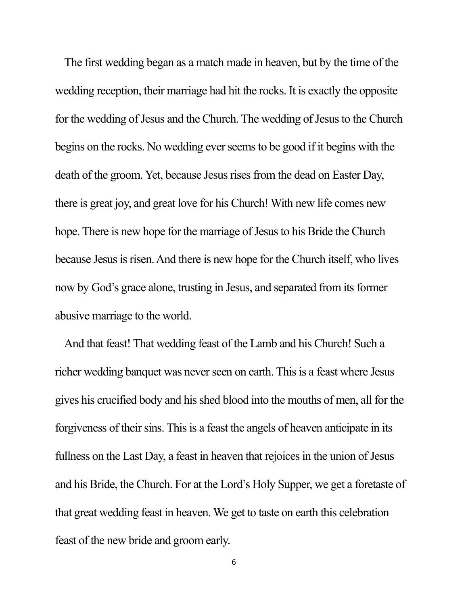The first wedding began as a match made in heaven, but by the time of the wedding reception, their marriage had hit the rocks. It is exactly the opposite for the wedding of Jesus and the Church. The wedding of Jesus to the Church begins on the rocks. No wedding ever seems to be good if it begins with the death of the groom. Yet, because Jesus rises from the dead on Easter Day, there is great joy, and great love for his Church! With new life comes new hope. There is new hope for the marriage of Jesus to his Bride the Church because Jesus is risen. And there is new hope for the Church itself, who lives now by God's grace alone, trusting in Jesus, and separated from its former abusive marriage to the world.

And that feast! That wedding feast of the Lamb and his Church! Such a richer wedding banquet was never seen on earth. This is a feast where Jesus gives his crucified body and his shed blood into the mouths of men, all for the forgiveness of their sins. This is a feast the angels of heaven anticipate in its fullness on the Last Day, a feast in heaven that rejoices in the union of Jesus and his Bride, the Church. For at the Lord's Holy Supper, we get a foretaste of that great wedding feast in heaven. We get to taste on earth this celebration feast of the new bride and groom early.